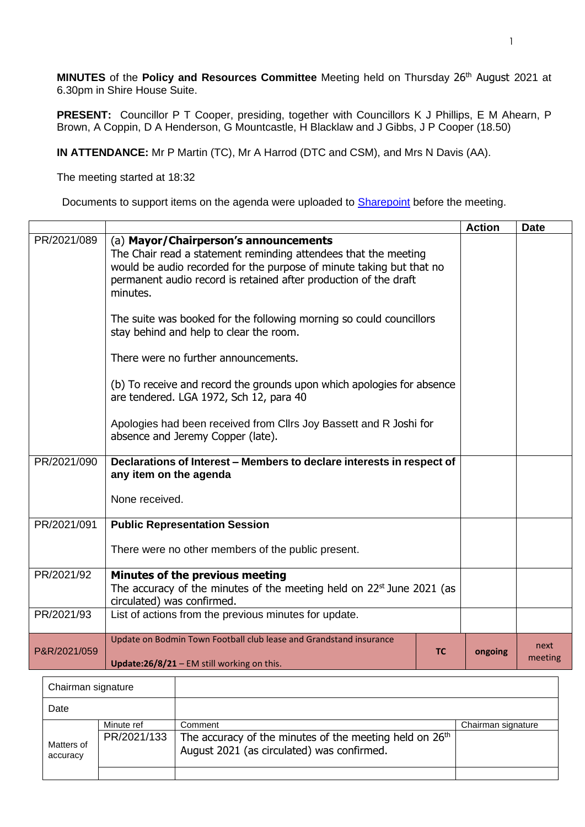**MINUTES** of the **Policy and Resources Committee** Meeting held on Thursday 26 th August 2021 at 6.30pm in Shire House Suite.

**PRESENT:** Councillor P T Cooper, presiding, together with Councillors K J Phillips, E M Ahearn, P Brown, A Coppin, D A Henderson, G Mountcastle, H Blacklaw and J Gibbs, J P Cooper (18.50)

**IN ATTENDANCE:** Mr P Martin (TC), Mr A Harrod (DTC and CSM), and Mrs N Davis (AA).

The meeting started at 18:32

Г

Documents to support items on the agenda were uploaded to [Sharepoint](https://bodmin.sharepoint.com/sites/Councillors/Shared%20Documents/Forms/AllItems.aspx?viewid=f0bbffeb%2D3b18%2D4621%2D80d9%2D151bc890f7e8&id=%2Fsites%2FCouncillors%2FShared%20Documents%2FCouncil%20Meetings%2FPolicy%20and%20Resources%20Committee%2FAgenda%20Pack%2026%2E8%2E21) before the meeting.

|              |                                                                         |           | <b>Action</b> | <b>Date</b> |
|--------------|-------------------------------------------------------------------------|-----------|---------------|-------------|
| PR/2021/089  | (a) Mayor/Chairperson's announcements                                   |           |               |             |
|              | The Chair read a statement reminding attendees that the meeting         |           |               |             |
|              | would be audio recorded for the purpose of minute taking but that no    |           |               |             |
|              | permanent audio record is retained after production of the draft        |           |               |             |
|              | minutes.                                                                |           |               |             |
|              | The suite was booked for the following morning so could councillors     |           |               |             |
|              | stay behind and help to clear the room.                                 |           |               |             |
|              |                                                                         |           |               |             |
|              | There were no further announcements.                                    |           |               |             |
|              |                                                                         |           |               |             |
|              | (b) To receive and record the grounds upon which apologies for absence  |           |               |             |
|              | are tendered. LGA 1972, Sch 12, para 40                                 |           |               |             |
|              | Apologies had been received from Cllrs Joy Bassett and R Joshi for      |           |               |             |
|              | absence and Jeremy Copper (late).                                       |           |               |             |
|              |                                                                         |           |               |             |
| PR/2021/090  | Declarations of Interest - Members to declare interests in respect of   |           |               |             |
|              | any item on the agenda                                                  |           |               |             |
|              | None received.                                                          |           |               |             |
|              |                                                                         |           |               |             |
| PR/2021/091  | <b>Public Representation Session</b>                                    |           |               |             |
|              |                                                                         |           |               |             |
|              | There were no other members of the public present.                      |           |               |             |
| PR/2021/92   | Minutes of the previous meeting                                         |           |               |             |
|              | The accuracy of the minutes of the meeting held on $22st$ June 2021 (as |           |               |             |
|              | circulated) was confirmed.                                              |           |               |             |
| PR/2021/93   | List of actions from the previous minutes for update.                   |           |               |             |
|              |                                                                         |           |               |             |
|              | Update on Bodmin Town Football club lease and Grandstand insurance      | <b>TC</b> |               | next        |
| P&R/2021/059 | Update:26/8/21 - EM still working on this.                              |           | ongoing       | meeting     |
|              |                                                                         |           |               |             |

| Chairman signature     |                           |                                                                                                                              |                    |
|------------------------|---------------------------|------------------------------------------------------------------------------------------------------------------------------|--------------------|
| Date                   |                           |                                                                                                                              |                    |
| Matters of<br>accuracy | Minute ref<br>PR/2021/133 | Comment<br>The accuracy of the minutes of the meeting held on 26 <sup>th</sup><br>August 2021 (as circulated) was confirmed. | Chairman signature |
|                        |                           |                                                                                                                              |                    |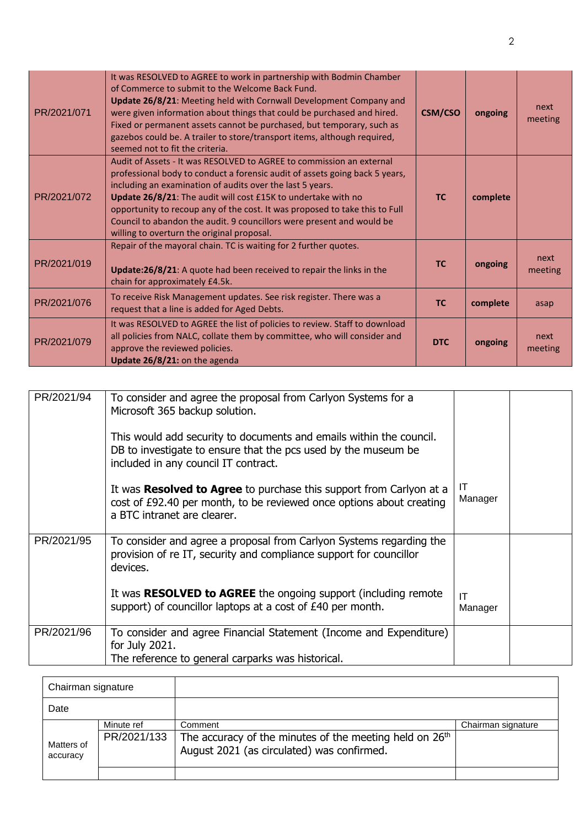| PR/2021/071 | It was RESOLVED to AGREE to work in partnership with Bodmin Chamber<br>of Commerce to submit to the Welcome Back Fund.<br>Update 26/8/21: Meeting held with Cornwall Development Company and<br>were given information about things that could be purchased and hired.<br>Fixed or permanent assets cannot be purchased, but temporary, such as<br>gazebos could be. A trailer to store/transport items, although required,<br>seemed not to fit the criteria.                          | <b>CSM/CSO</b> | ongoing  | next<br>meeting |
|-------------|-----------------------------------------------------------------------------------------------------------------------------------------------------------------------------------------------------------------------------------------------------------------------------------------------------------------------------------------------------------------------------------------------------------------------------------------------------------------------------------------|----------------|----------|-----------------|
| PR/2021/072 | Audit of Assets - It was RESOLVED to AGREE to commission an external<br>professional body to conduct a forensic audit of assets going back 5 years,<br>including an examination of audits over the last 5 years.<br>Update 26/8/21: The audit will cost £15K to undertake with no<br>opportunity to recoup any of the cost. It was proposed to take this to Full<br>Council to abandon the audit. 9 councillors were present and would be<br>willing to overturn the original proposal. | <b>TC</b>      | complete |                 |
| PR/2021/019 | Repair of the mayoral chain. TC is waiting for 2 further quotes.<br>Update:26/8/21: A quote had been received to repair the links in the<br>chain for approximately £4.5k.                                                                                                                                                                                                                                                                                                              | <b>TC</b>      | ongoing  | next<br>meeting |
| PR/2021/076 | To receive Risk Management updates. See risk register. There was a<br>request that a line is added for Aged Debts.                                                                                                                                                                                                                                                                                                                                                                      | <b>TC</b>      | complete | asap            |
| PR/2021/079 | It was RESOLVED to AGREE the list of policies to review. Staff to download<br>all policies from NALC, collate them by committee, who will consider and<br>approve the reviewed policies.<br>Update 26/8/21: on the agenda                                                                                                                                                                                                                                                               | <b>DTC</b>     | ongoing  | next<br>meeting |

| PR/2021/94 | To consider and agree the proposal from Carlyon Systems for a<br>Microsoft 365 backup solution.<br>This would add security to documents and emails within the council.<br>DB to investigate to ensure that the pcs used by the museum be<br>included in any council IT contract. |               |  |
|------------|----------------------------------------------------------------------------------------------------------------------------------------------------------------------------------------------------------------------------------------------------------------------------------|---------------|--|
|            | It was Resolved to Agree to purchase this support from Carlyon at a<br>cost of £92.40 per month, to be reviewed once options about creating<br>a BTC intranet are clearer.                                                                                                       | ΙT<br>Manager |  |
| PR/2021/95 | To consider and agree a proposal from Carlyon Systems regarding the<br>provision of re IT, security and compliance support for councillor<br>devices.                                                                                                                            |               |  |
|            | It was <b>RESOLVED to AGREE</b> the ongoing support (including remote<br>support) of councillor laptops at a cost of £40 per month.                                                                                                                                              | IT<br>Manager |  |
| PR/2021/96 | To consider and agree Financial Statement (Income and Expenditure)<br>for July 2021.<br>The reference to general carparks was historical.                                                                                                                                        |               |  |

| Chairman signature     |                           |                                                                                                                              |                    |
|------------------------|---------------------------|------------------------------------------------------------------------------------------------------------------------------|--------------------|
| Date                   |                           |                                                                                                                              |                    |
| Matters of<br>accuracy | Minute ref<br>PR/2021/133 | Comment<br>The accuracy of the minutes of the meeting held on 26 <sup>th</sup><br>August 2021 (as circulated) was confirmed. | Chairman signature |
|                        |                           |                                                                                                                              |                    |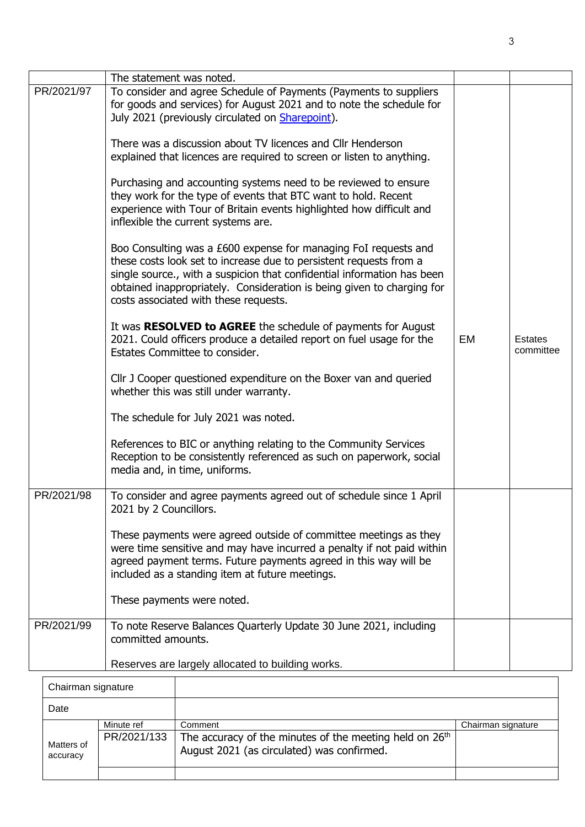|            | The statement was noted.                                                                                                                                                                                                                                                                                                            |    |                             |
|------------|-------------------------------------------------------------------------------------------------------------------------------------------------------------------------------------------------------------------------------------------------------------------------------------------------------------------------------------|----|-----------------------------|
| PR/2021/97 | To consider and agree Schedule of Payments (Payments to suppliers<br>for goods and services) for August 2021 and to note the schedule for<br>July 2021 (previously circulated on Sharepoint).                                                                                                                                       |    |                             |
|            | There was a discussion about TV licences and Cllr Henderson<br>explained that licences are required to screen or listen to anything.                                                                                                                                                                                                |    |                             |
|            | Purchasing and accounting systems need to be reviewed to ensure<br>they work for the type of events that BTC want to hold. Recent<br>experience with Tour of Britain events highlighted how difficult and<br>inflexible the current systems are.                                                                                    |    |                             |
|            | Boo Consulting was a £600 expense for managing FoI requests and<br>these costs look set to increase due to persistent requests from a<br>single source., with a suspicion that confidential information has been<br>obtained inappropriately. Consideration is being given to charging for<br>costs associated with these requests. |    |                             |
|            | It was RESOLVED to AGREE the schedule of payments for August<br>2021. Could officers produce a detailed report on fuel usage for the<br>Estates Committee to consider.                                                                                                                                                              | EM | <b>Estates</b><br>committee |
|            | Cllr J Cooper questioned expenditure on the Boxer van and queried<br>whether this was still under warranty.                                                                                                                                                                                                                         |    |                             |
|            | The schedule for July 2021 was noted.                                                                                                                                                                                                                                                                                               |    |                             |
|            | References to BIC or anything relating to the Community Services<br>Reception to be consistently referenced as such on paperwork, social<br>media and, in time, uniforms.                                                                                                                                                           |    |                             |
| PR/2021/98 | To consider and agree payments agreed out of schedule since 1 April<br>2021 by 2 Councillors.                                                                                                                                                                                                                                       |    |                             |
|            | These payments were agreed outside of committee meetings as they<br>were time sensitive and may have incurred a penalty if not paid within<br>agreed payment terms. Future payments agreed in this way will be<br>included as a standing item at future meetings.                                                                   |    |                             |
|            | These payments were noted.                                                                                                                                                                                                                                                                                                          |    |                             |
| PR/2021/99 | To note Reserve Balances Quarterly Update 30 June 2021, including<br>committed amounts.                                                                                                                                                                                                                                             |    |                             |
|            | Reserves are largely allocated to building works.                                                                                                                                                                                                                                                                                   |    |                             |

| Chairman signature     |                           |                                                                                                                              |                    |
|------------------------|---------------------------|------------------------------------------------------------------------------------------------------------------------------|--------------------|
| Date                   |                           |                                                                                                                              |                    |
| Matters of<br>accuracy | Minute ref<br>PR/2021/133 | Comment<br>The accuracy of the minutes of the meeting held on 26 <sup>th</sup><br>August 2021 (as circulated) was confirmed. | Chairman signature |
|                        |                           |                                                                                                                              |                    |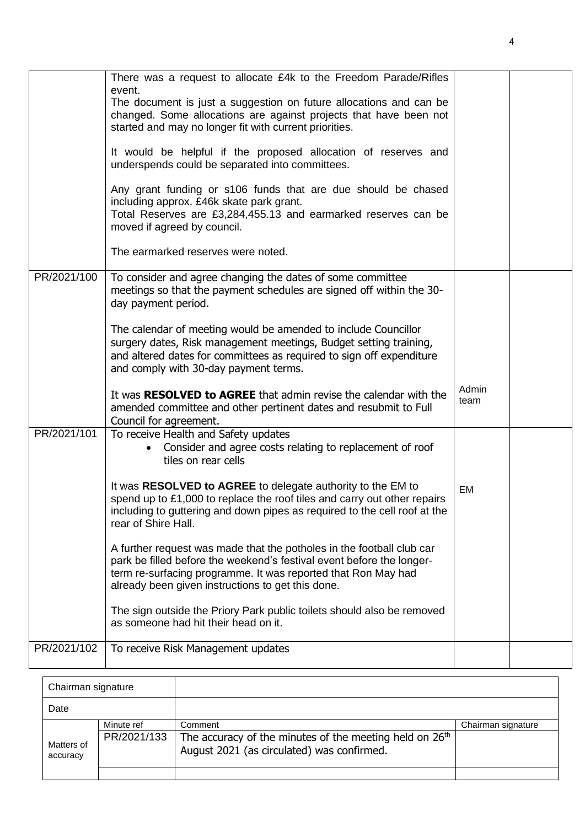|             | There was a request to allocate £4k to the Freedom Parade/Rifles<br>event.<br>The document is just a suggestion on future allocations and can be<br>changed. Some allocations are against projects that have been not<br>started and may no longer fit with current priorities.<br>It would be helpful if the proposed allocation of reserves and<br>underspends could be separated into committees.<br>Any grant funding or s106 funds that are due should be chased<br>including approx. £46k skate park grant.<br>Total Reserves are £3,284,455.13 and earmarked reserves can be |               |  |
|-------------|-------------------------------------------------------------------------------------------------------------------------------------------------------------------------------------------------------------------------------------------------------------------------------------------------------------------------------------------------------------------------------------------------------------------------------------------------------------------------------------------------------------------------------------------------------------------------------------|---------------|--|
|             | moved if agreed by council.<br>The earmarked reserves were noted.                                                                                                                                                                                                                                                                                                                                                                                                                                                                                                                   |               |  |
| PR/2021/100 | To consider and agree changing the dates of some committee<br>meetings so that the payment schedules are signed off within the 30-<br>day payment period.                                                                                                                                                                                                                                                                                                                                                                                                                           |               |  |
|             | The calendar of meeting would be amended to include Councillor<br>surgery dates, Risk management meetings, Budget setting training,<br>and altered dates for committees as required to sign off expenditure<br>and comply with 30-day payment terms.                                                                                                                                                                                                                                                                                                                                |               |  |
|             | It was RESOLVED to AGREE that admin revise the calendar with the<br>amended committee and other pertinent dates and resubmit to Full<br>Council for agreement.                                                                                                                                                                                                                                                                                                                                                                                                                      | Admin<br>team |  |
| PR/2021/101 | To receive Health and Safety updates<br>Consider and agree costs relating to replacement of roof<br>tiles on rear cells                                                                                                                                                                                                                                                                                                                                                                                                                                                             |               |  |
|             | It was RESOLVED to AGREE to delegate authority to the EM to<br>spend up to £1,000 to replace the roof tiles and carry out other repairs<br>including to guttering and down pipes as required to the cell roof at the<br>rear of Shire Hall.                                                                                                                                                                                                                                                                                                                                         | EM            |  |
|             | A further request was made that the potholes in the football club car<br>park be filled before the weekend's festival event before the longer-<br>term re-surfacing programme. It was reported that Ron May had<br>already been given instructions to get this done.                                                                                                                                                                                                                                                                                                                |               |  |
|             | The sign outside the Priory Park public toilets should also be removed<br>as someone had hit their head on it.                                                                                                                                                                                                                                                                                                                                                                                                                                                                      |               |  |
| PR/2021/102 | To receive Risk Management updates                                                                                                                                                                                                                                                                                                                                                                                                                                                                                                                                                  |               |  |
|             |                                                                                                                                                                                                                                                                                                                                                                                                                                                                                                                                                                                     |               |  |

| Chairman signature     |                           |                                                                                                                              |                    |
|------------------------|---------------------------|------------------------------------------------------------------------------------------------------------------------------|--------------------|
| Date                   |                           |                                                                                                                              |                    |
| Matters of<br>accuracy | Minute ref<br>PR/2021/133 | Comment<br>The accuracy of the minutes of the meeting held on 26 <sup>th</sup><br>August 2021 (as circulated) was confirmed. | Chairman signature |
|                        |                           |                                                                                                                              |                    |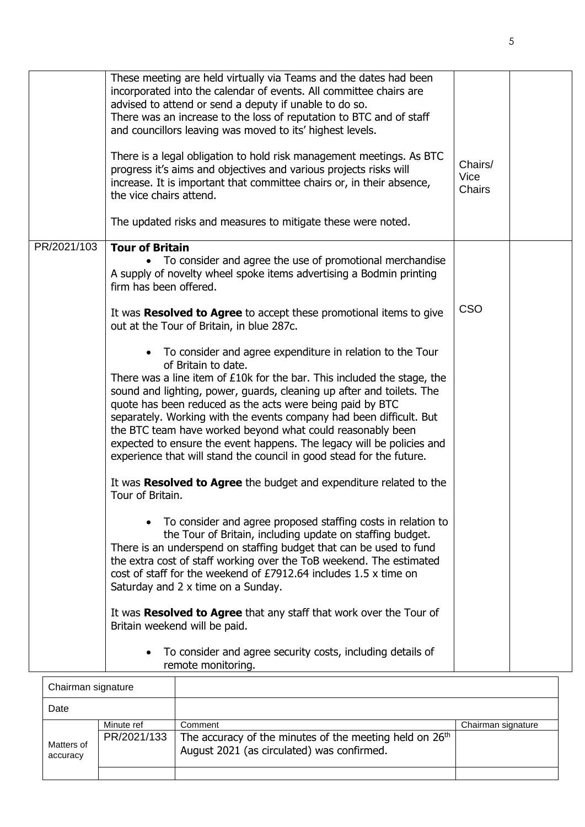|                    | These meeting are held virtually via Teams and the dates had been<br>incorporated into the calendar of events. All committee chairs are<br>advised to attend or send a deputy if unable to do so.<br>There was an increase to the loss of reputation to BTC and of staff<br>and councillors leaving was moved to its' highest levels.                                                                                                                                                                                                                                                                  |                           |  |
|--------------------|--------------------------------------------------------------------------------------------------------------------------------------------------------------------------------------------------------------------------------------------------------------------------------------------------------------------------------------------------------------------------------------------------------------------------------------------------------------------------------------------------------------------------------------------------------------------------------------------------------|---------------------------|--|
|                    | There is a legal obligation to hold risk management meetings. As BTC<br>progress it's aims and objectives and various projects risks will<br>increase. It is important that committee chairs or, in their absence,<br>the vice chairs attend.                                                                                                                                                                                                                                                                                                                                                          | Chairs/<br>Vice<br>Chairs |  |
|                    | The updated risks and measures to mitigate these were noted.                                                                                                                                                                                                                                                                                                                                                                                                                                                                                                                                           |                           |  |
| PR/2021/103        | <b>Tour of Britain</b><br>To consider and agree the use of promotional merchandise<br>A supply of novelty wheel spoke items advertising a Bodmin printing<br>firm has been offered.                                                                                                                                                                                                                                                                                                                                                                                                                    |                           |  |
|                    | It was Resolved to Agree to accept these promotional items to give<br>out at the Tour of Britain, in blue 287c.                                                                                                                                                                                                                                                                                                                                                                                                                                                                                        | <b>CSO</b>                |  |
|                    | To consider and agree expenditure in relation to the Tour<br>$\bullet$<br>of Britain to date.<br>There was a line item of $£10k$ for the bar. This included the stage, the<br>sound and lighting, power, guards, cleaning up after and toilets. The<br>quote has been reduced as the acts were being paid by BTC<br>separately. Working with the events company had been difficult. But<br>the BTC team have worked beyond what could reasonably been<br>expected to ensure the event happens. The legacy will be policies and<br>experience that will stand the council in good stead for the future. |                           |  |
|                    | It was <b>Resolved to Agree</b> the budget and expenditure related to the<br>Tour of Britain.                                                                                                                                                                                                                                                                                                                                                                                                                                                                                                          |                           |  |
|                    | To consider and agree proposed staffing costs in relation to<br>the Tour of Britain, including update on staffing budget.<br>There is an underspend on staffing budget that can be used to fund<br>the extra cost of staff working over the ToB weekend. The estimated<br>cost of staff for the weekend of £7912.64 includes 1.5 x time on<br>Saturday and 2 x time on a Sunday.                                                                                                                                                                                                                       |                           |  |
|                    | It was Resolved to Agree that any staff that work over the Tour of<br>Britain weekend will be paid.                                                                                                                                                                                                                                                                                                                                                                                                                                                                                                    |                           |  |
|                    | To consider and agree security costs, including details of<br>remote monitoring.                                                                                                                                                                                                                                                                                                                                                                                                                                                                                                                       |                           |  |
| Chairman signature |                                                                                                                                                                                                                                                                                                                                                                                                                                                                                                                                                                                                        |                           |  |

| Chairman signature     |                           |                                                                                                                              |                    |
|------------------------|---------------------------|------------------------------------------------------------------------------------------------------------------------------|--------------------|
| Date                   |                           |                                                                                                                              |                    |
| Matters of<br>accuracy | Minute ref<br>PR/2021/133 | Comment<br>The accuracy of the minutes of the meeting held on 26 <sup>th</sup><br>August 2021 (as circulated) was confirmed. | Chairman signature |
|                        |                           |                                                                                                                              |                    |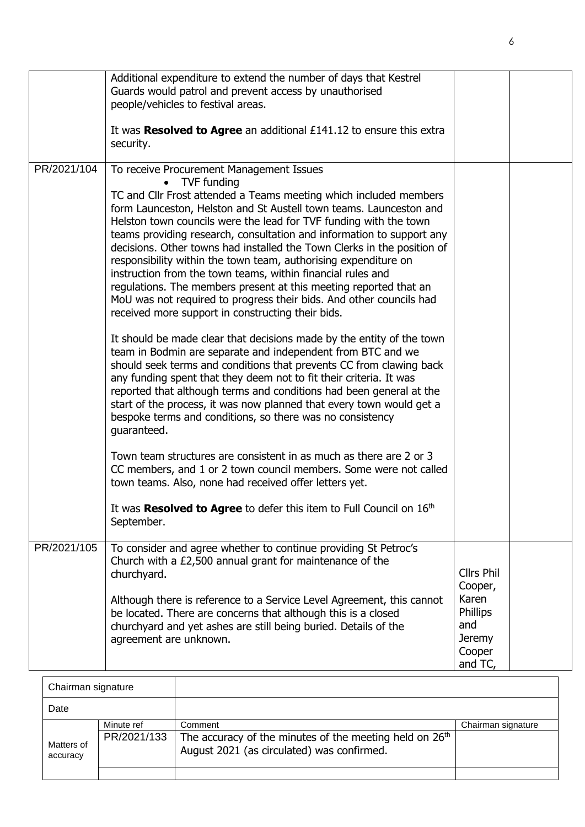|             | Additional expenditure to extend the number of days that Kestrel                                                                                                                                                                                                                                                                                                                                                                                                                                             |                                                                       |  |
|-------------|--------------------------------------------------------------------------------------------------------------------------------------------------------------------------------------------------------------------------------------------------------------------------------------------------------------------------------------------------------------------------------------------------------------------------------------------------------------------------------------------------------------|-----------------------------------------------------------------------|--|
|             | Guards would patrol and prevent access by unauthorised                                                                                                                                                                                                                                                                                                                                                                                                                                                       |                                                                       |  |
|             | people/vehicles to festival areas.                                                                                                                                                                                                                                                                                                                                                                                                                                                                           |                                                                       |  |
|             | It was Resolved to Agree an additional £141.12 to ensure this extra                                                                                                                                                                                                                                                                                                                                                                                                                                          |                                                                       |  |
|             | security.                                                                                                                                                                                                                                                                                                                                                                                                                                                                                                    |                                                                       |  |
| PR/2021/104 | To receive Procurement Management Issues<br>• TVF funding<br>TC and Cllr Frost attended a Teams meeting which included members<br>form Launceston, Helston and St Austell town teams. Launceston and<br>Helston town councils were the lead for TVF funding with the town<br>teams providing research, consultation and information to support any                                                                                                                                                           |                                                                       |  |
|             | decisions. Other towns had installed the Town Clerks in the position of<br>responsibility within the town team, authorising expenditure on<br>instruction from the town teams, within financial rules and<br>regulations. The members present at this meeting reported that an<br>MoU was not required to progress their bids. And other councils had<br>received more support in constructing their bids.                                                                                                   |                                                                       |  |
|             | It should be made clear that decisions made by the entity of the town<br>team in Bodmin are separate and independent from BTC and we<br>should seek terms and conditions that prevents CC from clawing back<br>any funding spent that they deem not to fit their criteria. It was<br>reported that although terms and conditions had been general at the<br>start of the process, it was now planned that every town would get a<br>bespoke terms and conditions, so there was no consistency<br>guaranteed. |                                                                       |  |
|             | Town team structures are consistent in as much as there are 2 or 3<br>CC members, and 1 or 2 town council members. Some were not called<br>town teams. Also, none had received offer letters yet.                                                                                                                                                                                                                                                                                                            |                                                                       |  |
|             | It was Resolved to Agree to defer this item to Full Council on 16th<br>September.                                                                                                                                                                                                                                                                                                                                                                                                                            |                                                                       |  |
| PR/2021/105 | To consider and agree whether to continue providing St Petroc's<br>Church with a £2,500 annual grant for maintenance of the<br>churchyard.                                                                                                                                                                                                                                                                                                                                                                   | <b>Cllrs Phil</b><br>Cooper,                                          |  |
|             | Although there is reference to a Service Level Agreement, this cannot<br>be located. There are concerns that although this is a closed<br>churchyard and yet ashes are still being buried. Details of the<br>agreement are unknown.                                                                                                                                                                                                                                                                          | Karen<br><b>Phillips</b><br>and<br><b>Jeremy</b><br>Cooper<br>and TC, |  |

| Chairman signature     |                           |                                                                                                                              |                    |
|------------------------|---------------------------|------------------------------------------------------------------------------------------------------------------------------|--------------------|
| Date                   |                           |                                                                                                                              |                    |
| Matters of<br>accuracy | Minute ref<br>PR/2021/133 | Comment<br>The accuracy of the minutes of the meeting held on 26 <sup>th</sup><br>August 2021 (as circulated) was confirmed. | Chairman signature |
|                        |                           |                                                                                                                              |                    |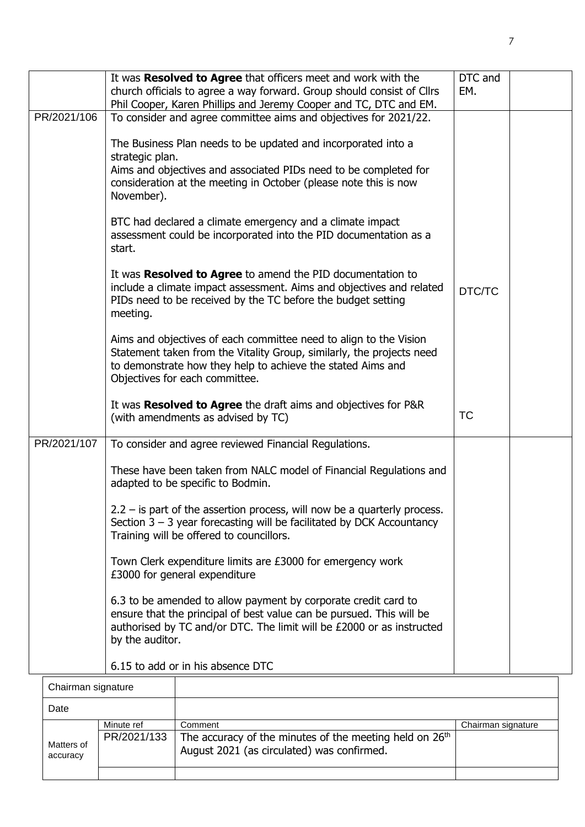|                    | It was Resolved to Agree that officers meet and work with the<br>church officials to agree a way forward. Group should consist of Cllrs                                                                                                     | DTC and<br>EM. |  |
|--------------------|---------------------------------------------------------------------------------------------------------------------------------------------------------------------------------------------------------------------------------------------|----------------|--|
| PR/2021/106        | Phil Cooper, Karen Phillips and Jeremy Cooper and TC, DTC and EM.<br>To consider and agree committee aims and objectives for 2021/22.                                                                                                       |                |  |
|                    |                                                                                                                                                                                                                                             |                |  |
|                    | The Business Plan needs to be updated and incorporated into a                                                                                                                                                                               |                |  |
|                    | strategic plan.                                                                                                                                                                                                                             |                |  |
|                    | Aims and objectives and associated PIDs need to be completed for<br>consideration at the meeting in October (please note this is now<br>November).                                                                                          |                |  |
|                    | BTC had declared a climate emergency and a climate impact<br>assessment could be incorporated into the PID documentation as a<br>start.                                                                                                     |                |  |
|                    | It was Resolved to Agree to amend the PID documentation to<br>include a climate impact assessment. Aims and objectives and related<br>PIDs need to be received by the TC before the budget setting<br>meeting.                              | DTC/TC         |  |
|                    | Aims and objectives of each committee need to align to the Vision<br>Statement taken from the Vitality Group, similarly, the projects need<br>to demonstrate how they help to achieve the stated Aims and<br>Objectives for each committee. |                |  |
|                    | It was Resolved to Agree the draft aims and objectives for P&R<br>(with amendments as advised by TC)                                                                                                                                        | <b>TC</b>      |  |
| PR/2021/107        | To consider and agree reviewed Financial Regulations.                                                                                                                                                                                       |                |  |
|                    | These have been taken from NALC model of Financial Regulations and<br>adapted to be specific to Bodmin.                                                                                                                                     |                |  |
|                    | $2.2 -$ is part of the assertion process, will now be a quarterly process.<br>Section $3 - 3$ year forecasting will be facilitated by DCK Accountancy<br>Training will be offered to councillors.                                           |                |  |
|                    | Town Clerk expenditure limits are £3000 for emergency work<br>£3000 for general expenditure                                                                                                                                                 |                |  |
|                    | 6.3 to be amended to allow payment by corporate credit card to<br>ensure that the principal of best value can be pursued. This will be<br>authorised by TC and/or DTC. The limit will be £2000 or as instructed<br>by the auditor.          |                |  |
|                    | 6.15 to add or in his absence DTC                                                                                                                                                                                                           |                |  |
| Chairman cinnature |                                                                                                                                                                                                                                             |                |  |

| Chairman signature     |                           |                                                                                                                              |                    |
|------------------------|---------------------------|------------------------------------------------------------------------------------------------------------------------------|--------------------|
| Date                   |                           |                                                                                                                              |                    |
| Matters of<br>accuracy | Minute ref<br>PR/2021/133 | Comment<br>The accuracy of the minutes of the meeting held on 26 <sup>th</sup><br>August 2021 (as circulated) was confirmed. | Chairman signature |
|                        |                           |                                                                                                                              |                    |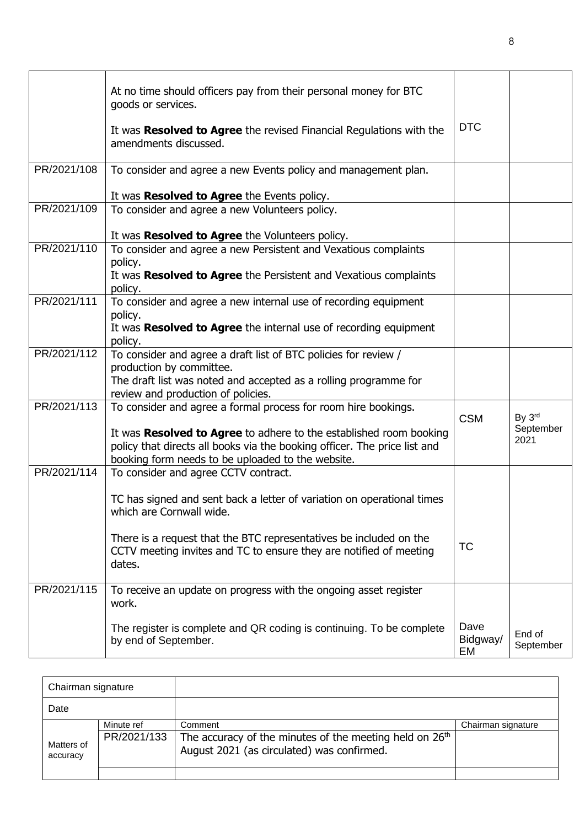|             | At no time should officers pay from their personal money for BTC<br>goods or services.<br>It was Resolved to Agree the revised Financial Regulations with the<br>amendments discussed.               | <b>DTC</b>             |                     |
|-------------|------------------------------------------------------------------------------------------------------------------------------------------------------------------------------------------------------|------------------------|---------------------|
| PR/2021/108 | To consider and agree a new Events policy and management plan.                                                                                                                                       |                        |                     |
|             | It was Resolved to Agree the Events policy.                                                                                                                                                          |                        |                     |
| PR/2021/109 | To consider and agree a new Volunteers policy.                                                                                                                                                       |                        |                     |
|             | It was Resolved to Agree the Volunteers policy.                                                                                                                                                      |                        |                     |
| PR/2021/110 | To consider and agree a new Persistent and Vexatious complaints<br>policy.<br>It was Resolved to Agree the Persistent and Vexatious complaints                                                       |                        |                     |
|             | policy.                                                                                                                                                                                              |                        |                     |
| PR/2021/111 | To consider and agree a new internal use of recording equipment<br>policy.<br>It was Resolved to Agree the internal use of recording equipment<br>policy.                                            |                        |                     |
| PR/2021/112 | To consider and agree a draft list of BTC policies for review /                                                                                                                                      |                        |                     |
|             | production by committee.<br>The draft list was noted and accepted as a rolling programme for<br>review and production of policies.                                                                   |                        |                     |
| PR/2021/113 | To consider and agree a formal process for room hire bookings.                                                                                                                                       | <b>CSM</b>             | By 3rd<br>September |
|             | It was Resolved to Agree to adhere to the established room booking<br>policy that directs all books via the booking officer. The price list and<br>booking form needs to be uploaded to the website. |                        | 2021                |
| PR/2021/114 | To consider and agree CCTV contract.                                                                                                                                                                 |                        |                     |
|             | TC has signed and sent back a letter of variation on operational times<br>which are Cornwall wide.                                                                                                   |                        |                     |
|             | There is a request that the BTC representatives be included on the<br>CCTV meeting invites and TC to ensure they are notified of meeting<br>dates.                                                   | <b>TC</b>              |                     |
| PR/2021/115 | To receive an update on progress with the ongoing asset register<br>work.                                                                                                                            |                        |                     |
|             | The register is complete and QR coding is continuing. To be complete<br>by end of September.                                                                                                         | Dave<br>Bidgway/<br>EM | End of<br>September |

| Chairman signature     |                           |                                                                                                                              |                    |
|------------------------|---------------------------|------------------------------------------------------------------------------------------------------------------------------|--------------------|
| Date                   |                           |                                                                                                                              |                    |
| Matters of<br>accuracy | Minute ref<br>PR/2021/133 | Comment<br>The accuracy of the minutes of the meeting held on 26 <sup>th</sup><br>August 2021 (as circulated) was confirmed. | Chairman signature |
|                        |                           |                                                                                                                              |                    |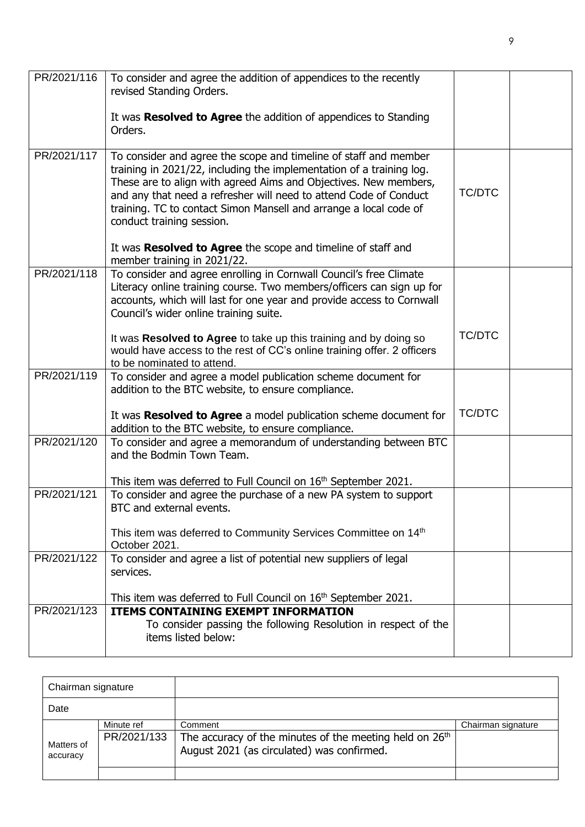| PR/2021/116 | To consider and agree the addition of appendices to the recently<br>revised Standing Orders.                                                                                                                                                                                                                                                                                        |               |  |
|-------------|-------------------------------------------------------------------------------------------------------------------------------------------------------------------------------------------------------------------------------------------------------------------------------------------------------------------------------------------------------------------------------------|---------------|--|
|             | It was Resolved to Agree the addition of appendices to Standing<br>Orders.                                                                                                                                                                                                                                                                                                          |               |  |
| PR/2021/117 | To consider and agree the scope and timeline of staff and member<br>training in 2021/22, including the implementation of a training log.<br>These are to align with agreed Aims and Objectives. New members,<br>and any that need a refresher will need to attend Code of Conduct<br>training. TC to contact Simon Mansell and arrange a local code of<br>conduct training session. | <b>TC/DTC</b> |  |
|             | It was Resolved to Agree the scope and timeline of staff and<br>member training in 2021/22.                                                                                                                                                                                                                                                                                         |               |  |
| PR/2021/118 | To consider and agree enrolling in Cornwall Council's free Climate<br>Literacy online training course. Two members/officers can sign up for<br>accounts, which will last for one year and provide access to Cornwall<br>Council's wider online training suite.                                                                                                                      |               |  |
|             | It was Resolved to Agree to take up this training and by doing so<br>would have access to the rest of CC's online training offer. 2 officers<br>to be nominated to attend.                                                                                                                                                                                                          | <b>TC/DTC</b> |  |
| PR/2021/119 | To consider and agree a model publication scheme document for<br>addition to the BTC website, to ensure compliance.                                                                                                                                                                                                                                                                 |               |  |
|             | It was Resolved to Agree a model publication scheme document for<br>addition to the BTC website, to ensure compliance.                                                                                                                                                                                                                                                              | <b>TC/DTC</b> |  |
| PR/2021/120 | To consider and agree a memorandum of understanding between BTC<br>and the Bodmin Town Team.<br>This item was deferred to Full Council on $16th$ September 2021.                                                                                                                                                                                                                    |               |  |
| PR/2021/121 | To consider and agree the purchase of a new PA system to support<br>BTC and external events.                                                                                                                                                                                                                                                                                        |               |  |
|             | This item was deferred to Community Services Committee on 14 <sup>th</sup><br>October 2021.                                                                                                                                                                                                                                                                                         |               |  |
| PR/2021/122 | To consider and agree a list of potential new suppliers of legal<br>services.                                                                                                                                                                                                                                                                                                       |               |  |
|             | This item was deferred to Full Council on 16 <sup>th</sup> September 2021.                                                                                                                                                                                                                                                                                                          |               |  |
| PR/2021/123 | <b>ITEMS CONTAINING EXEMPT INFORMATION</b><br>To consider passing the following Resolution in respect of the<br>items listed below:                                                                                                                                                                                                                                                 |               |  |

| Chairman signature     |                           |                                                                                                                              |                    |
|------------------------|---------------------------|------------------------------------------------------------------------------------------------------------------------------|--------------------|
| Date                   |                           |                                                                                                                              |                    |
| Matters of<br>accuracy | Minute ref<br>PR/2021/133 | Comment<br>The accuracy of the minutes of the meeting held on 26 <sup>th</sup><br>August 2021 (as circulated) was confirmed. | Chairman signature |
|                        |                           |                                                                                                                              |                    |